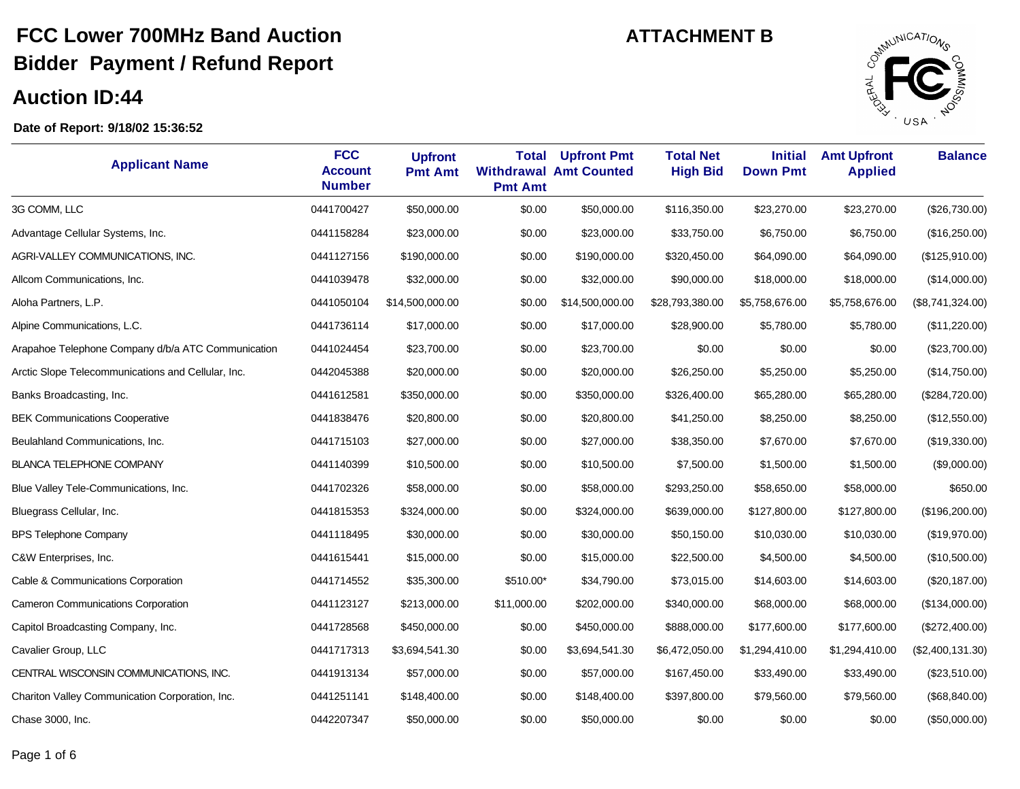#### **Auction ID:44**

J.



| <b>Applicant Name</b>                              | <b>FCC</b><br><b>Account</b><br><b>Number</b> | <b>Upfront</b><br><b>Pmt Amt</b> | <b>Total</b><br><b>Pmt Amt</b> | <b>Upfront Pmt</b><br><b>Withdrawal Amt Counted</b> | <b>Total Net</b><br><b>High Bid</b> | <b>Initial</b><br><b>Down Pmt</b> | <b>Amt Upfront</b><br><b>Applied</b> | <b>Balance</b>   |
|----------------------------------------------------|-----------------------------------------------|----------------------------------|--------------------------------|-----------------------------------------------------|-------------------------------------|-----------------------------------|--------------------------------------|------------------|
| 3G COMM, LLC                                       | 0441700427                                    | \$50,000.00                      | \$0.00                         | \$50,000.00                                         | \$116,350.00                        | \$23,270.00                       | \$23,270.00                          | (\$26,730.00)    |
| Advantage Cellular Systems, Inc.                   | 0441158284                                    | \$23,000.00                      | \$0.00                         | \$23,000.00                                         | \$33,750.00                         | \$6,750.00                        | \$6,750.00                           | (\$16,250.00)    |
| AGRI-VALLEY COMMUNICATIONS, INC.                   | 0441127156                                    | \$190,000.00                     | \$0.00                         | \$190,000.00                                        | \$320,450.00                        | \$64,090.00                       | \$64,090.00                          | (\$125,910.00)   |
| Allcom Communications, Inc.                        | 0441039478                                    | \$32,000.00                      | \$0.00                         | \$32,000.00                                         | \$90,000.00                         | \$18,000.00                       | \$18,000.00                          | (\$14,000.00)    |
| Aloha Partners, L.P.                               | 0441050104                                    | \$14,500,000.00                  | \$0.00                         | \$14,500,000.00                                     | \$28,793,380.00                     | \$5,758,676.00                    | \$5,758,676.00                       | (\$8,741,324.00) |
| Alpine Communications, L.C.                        | 0441736114                                    | \$17,000.00                      | \$0.00                         | \$17,000.00                                         | \$28,900.00                         | \$5,780.00                        | \$5,780.00                           | (\$11,220.00)    |
| Arapahoe Telephone Company d/b/a ATC Communication | 0441024454                                    | \$23,700.00                      | \$0.00                         | \$23,700.00                                         | \$0.00                              | \$0.00                            | \$0.00                               | (\$23,700.00)    |
| Arctic Slope Telecommunications and Cellular, Inc. | 0442045388                                    | \$20,000.00                      | \$0.00                         | \$20,000.00                                         | \$26,250.00                         | \$5,250.00                        | \$5,250.00                           | (\$14,750.00)    |
| Banks Broadcasting, Inc.                           | 0441612581                                    | \$350,000.00                     | \$0.00                         | \$350,000.00                                        | \$326,400.00                        | \$65,280.00                       | \$65,280.00                          | (\$284,720.00)   |
| <b>BEK Communications Cooperative</b>              | 0441838476                                    | \$20,800.00                      | \$0.00                         | \$20,800.00                                         | \$41,250.00                         | \$8,250.00                        | \$8,250.00                           | (\$12,550.00)    |
| Beulahland Communications, Inc.                    | 0441715103                                    | \$27,000.00                      | \$0.00                         | \$27,000.00                                         | \$38,350.00                         | \$7,670.00                        | \$7,670.00                           | (\$19,330.00)    |
| <b>BLANCA TELEPHONE COMPANY</b>                    | 0441140399                                    | \$10,500.00                      | \$0.00                         | \$10,500.00                                         | \$7,500.00                          | \$1,500.00                        | \$1,500.00                           | (\$9,000.00)     |
| Blue Valley Tele-Communications, Inc.              | 0441702326                                    | \$58,000.00                      | \$0.00                         | \$58,000.00                                         | \$293,250.00                        | \$58,650.00                       | \$58,000.00                          | \$650.00         |
| Bluegrass Cellular, Inc.                           | 0441815353                                    | \$324,000.00                     | \$0.00                         | \$324,000.00                                        | \$639,000.00                        | \$127,800.00                      | \$127,800.00                         | (\$196,200.00)   |
| <b>BPS Telephone Company</b>                       | 0441118495                                    | \$30,000.00                      | \$0.00                         | \$30,000.00                                         | \$50,150.00                         | \$10,030.00                       | \$10,030.00                          | (\$19,970.00)    |
| C&W Enterprises, Inc.                              | 0441615441                                    | \$15,000.00                      | \$0.00                         | \$15,000.00                                         | \$22,500.00                         | \$4,500.00                        | \$4,500.00                           | (\$10,500.00)    |
| Cable & Communications Corporation                 | 0441714552                                    | \$35,300.00                      | \$510.00*                      | \$34,790.00                                         | \$73,015.00                         | \$14,603.00                       | \$14,603.00                          | (\$20,187.00)    |
| Cameron Communications Corporation                 | 0441123127                                    | \$213,000.00                     | \$11,000.00                    | \$202,000.00                                        | \$340,000.00                        | \$68,000.00                       | \$68,000.00                          | (\$134,000.00)   |
| Capitol Broadcasting Company, Inc.                 | 0441728568                                    | \$450,000.00                     | \$0.00                         | \$450,000.00                                        | \$888,000.00                        | \$177,600.00                      | \$177,600.00                         | (\$272,400.00)   |
| Cavalier Group, LLC                                | 0441717313                                    | \$3,694,541.30                   | \$0.00                         | \$3,694,541.30                                      | \$6,472,050.00                      | \$1,294,410.00                    | \$1,294,410.00                       | (\$2,400,131.30) |
| CENTRAL WISCONSIN COMMUNICATIONS, INC.             | 0441913134                                    | \$57,000.00                      | \$0.00                         | \$57,000.00                                         | \$167,450.00                        | \$33,490.00                       | \$33,490.00                          | (\$23,510.00)    |
| Chariton Valley Communication Corporation, Inc.    | 0441251141                                    | \$148,400.00                     | \$0.00                         | \$148,400.00                                        | \$397,800.00                        | \$79,560.00                       | \$79,560.00                          | (\$68, 840.00)   |
| Chase 3000, Inc.                                   | 0442207347                                    | \$50,000.00                      | \$0.00                         | \$50,000.00                                         | \$0.00                              | \$0.00                            | \$0.00                               | (\$50,000.00)    |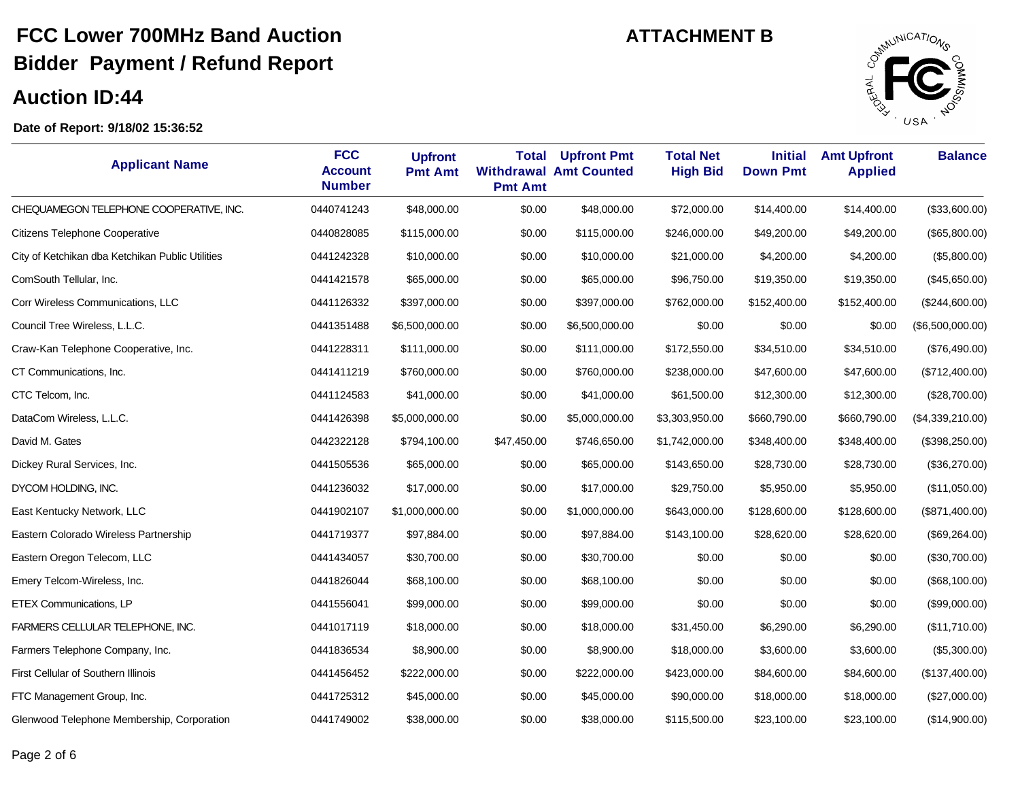#### **Auction ID:44**

Ĭ.



| <b>Applicant Name</b>                            | <b>FCC</b><br><b>Account</b><br><b>Number</b> | <b>Upfront</b><br><b>Pmt Amt</b> | <b>Total</b><br><b>Pmt Amt</b> | <b>Upfront Pmt</b><br><b>Withdrawal Amt Counted</b> | <b>Total Net</b><br><b>High Bid</b> | <b>Initial</b><br><b>Down Pmt</b> | <b>Amt Upfront</b><br><b>Applied</b> | <b>Balance</b>   |
|--------------------------------------------------|-----------------------------------------------|----------------------------------|--------------------------------|-----------------------------------------------------|-------------------------------------|-----------------------------------|--------------------------------------|------------------|
| CHEQUAMEGON TELEPHONE COOPERATIVE, INC.          | 0440741243                                    | \$48,000.00                      | \$0.00                         | \$48,000.00                                         | \$72,000.00                         | \$14,400.00                       | \$14,400.00                          | (\$33,600.00)    |
| Citizens Telephone Cooperative                   | 0440828085                                    | \$115,000.00                     | \$0.00                         | \$115,000.00                                        | \$246,000.00                        | \$49,200.00                       | \$49,200.00                          | (\$65,800.00)    |
| City of Ketchikan dba Ketchikan Public Utilities | 0441242328                                    | \$10,000.00                      | \$0.00                         | \$10,000.00                                         | \$21,000.00                         | \$4,200.00                        | \$4,200.00                           | (\$5,800.00)     |
| ComSouth Tellular, Inc.                          | 0441421578                                    | \$65,000.00                      | \$0.00                         | \$65,000.00                                         | \$96,750.00                         | \$19,350.00                       | \$19,350.00                          | (\$45,650.00)    |
| Corr Wireless Communications, LLC                | 0441126332                                    | \$397,000.00                     | \$0.00                         | \$397,000.00                                        | \$762,000.00                        | \$152,400.00                      | \$152,400.00                         | (\$244,600.00)   |
| Council Tree Wireless, L.L.C.                    | 0441351488                                    | \$6,500,000.00                   | \$0.00                         | \$6,500,000.00                                      | \$0.00                              | \$0.00                            | \$0.00                               | (\$6,500,000.00) |
| Craw-Kan Telephone Cooperative, Inc.             | 0441228311                                    | \$111,000.00                     | \$0.00                         | \$111,000.00                                        | \$172,550.00                        | \$34,510.00                       | \$34,510.00                          | (\$76,490.00)    |
| CT Communications, Inc.                          | 0441411219                                    | \$760,000.00                     | \$0.00                         | \$760,000.00                                        | \$238,000.00                        | \$47,600.00                       | \$47,600.00                          | (\$712,400.00)   |
| CTC Telcom, Inc.                                 | 0441124583                                    | \$41,000.00                      | \$0.00                         | \$41,000.00                                         | \$61,500.00                         | \$12,300.00                       | \$12,300.00                          | (\$28,700.00)    |
| DataCom Wireless, L.L.C.                         | 0441426398                                    | \$5,000,000.00                   | \$0.00                         | \$5,000,000.00                                      | \$3,303,950.00                      | \$660,790.00                      | \$660,790.00                         | (\$4,339,210.00) |
| David M. Gates                                   | 0442322128                                    | \$794,100.00                     | \$47,450.00                    | \$746,650.00                                        | \$1,742,000.00                      | \$348,400.00                      | \$348,400.00                         | (\$398,250.00)   |
| Dickey Rural Services, Inc.                      | 0441505536                                    | \$65,000.00                      | \$0.00                         | \$65,000.00                                         | \$143,650.00                        | \$28,730.00                       | \$28,730.00                          | (\$36,270.00)    |
| DYCOM HOLDING, INC.                              | 0441236032                                    | \$17,000.00                      | \$0.00                         | \$17,000.00                                         | \$29,750.00                         | \$5,950.00                        | \$5,950.00                           | (\$11,050.00)    |
| East Kentucky Network, LLC                       | 0441902107                                    | \$1,000,000.00                   | \$0.00                         | \$1,000,000.00                                      | \$643,000.00                        | \$128,600.00                      | \$128,600.00                         | (\$871,400.00)   |
| Eastern Colorado Wireless Partnership            | 0441719377                                    | \$97,884.00                      | \$0.00                         | \$97,884.00                                         | \$143,100.00                        | \$28,620.00                       | \$28,620.00                          | (\$69,264.00)    |
| Eastern Oregon Telecom, LLC                      | 0441434057                                    | \$30,700.00                      | \$0.00                         | \$30,700.00                                         | \$0.00                              | \$0.00                            | \$0.00                               | (\$30,700.00)    |
| Emery Telcom-Wireless, Inc.                      | 0441826044                                    | \$68,100.00                      | \$0.00                         | \$68,100.00                                         | \$0.00                              | \$0.00                            | \$0.00                               | (\$68,100.00)    |
| <b>ETEX Communications, LP</b>                   | 0441556041                                    | \$99,000.00                      | \$0.00                         | \$99,000.00                                         | \$0.00                              | \$0.00                            | \$0.00                               | (\$99,000.00)    |
| FARMERS CELLULAR TELEPHONE, INC.                 | 0441017119                                    | \$18,000.00                      | \$0.00                         | \$18,000.00                                         | \$31,450.00                         | \$6,290.00                        | \$6,290.00                           | (\$11,710.00)    |
| Farmers Telephone Company, Inc.                  | 0441836534                                    | \$8,900.00                       | \$0.00                         | \$8,900.00                                          | \$18,000.00                         | \$3,600.00                        | \$3,600.00                           | (\$5,300.00)     |
| First Cellular of Southern Illinois              | 0441456452                                    | \$222,000.00                     | \$0.00                         | \$222,000.00                                        | \$423,000.00                        | \$84,600.00                       | \$84,600.00                          | (\$137,400.00)   |
| FTC Management Group, Inc.                       | 0441725312                                    | \$45,000.00                      | \$0.00                         | \$45,000.00                                         | \$90,000.00                         | \$18,000.00                       | \$18,000.00                          | (\$27,000.00)    |
| Glenwood Telephone Membership, Corporation       | 0441749002                                    | \$38,000.00                      | \$0.00                         | \$38,000.00                                         | \$115,500.00                        | \$23,100.00                       | \$23,100.00                          | (\$14,900.00)    |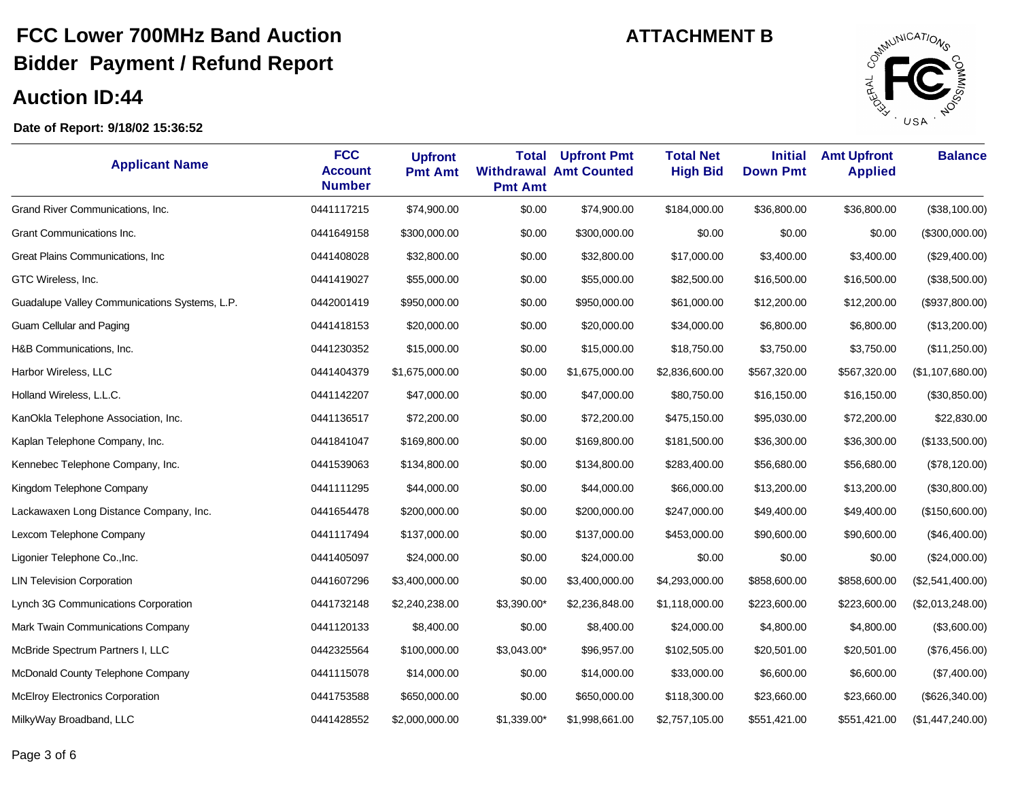### **Auction ID:44**

 $\overline{\phantom{a}}$ 



| <b>Applicant Name</b>                         | <b>FCC</b><br><b>Account</b><br><b>Number</b> | <b>Upfront</b><br><b>Pmt Amt</b> | <b>Total</b><br><b>Pmt Amt</b> | <b>Upfront Pmt</b><br><b>Withdrawal Amt Counted</b> | <b>Total Net</b><br><b>High Bid</b> | <b>Initial</b><br><b>Down Pmt</b> | <b>Amt Upfront</b><br><b>Applied</b> | <b>Balance</b>   |
|-----------------------------------------------|-----------------------------------------------|----------------------------------|--------------------------------|-----------------------------------------------------|-------------------------------------|-----------------------------------|--------------------------------------|------------------|
| Grand River Communications, Inc.              | 0441117215                                    | \$74,900.00                      | \$0.00                         | \$74,900.00                                         | \$184,000.00                        | \$36,800.00                       | \$36,800.00                          | (\$38,100.00)    |
| Grant Communications Inc.                     | 0441649158                                    | \$300,000.00                     | \$0.00                         | \$300,000.00                                        | \$0.00                              | \$0.00                            | \$0.00                               | (\$300,000.00)   |
| Great Plains Communications, Inc              | 0441408028                                    | \$32,800.00                      | \$0.00                         | \$32,800.00                                         | \$17,000.00                         | \$3,400.00                        | \$3,400.00                           | (\$29,400.00)    |
| GTC Wireless, Inc.                            | 0441419027                                    | \$55,000.00                      | \$0.00                         | \$55,000.00                                         | \$82,500.00                         | \$16,500.00                       | \$16,500.00                          | (\$38,500.00)    |
| Guadalupe Valley Communications Systems, L.P. | 0442001419                                    | \$950,000.00                     | \$0.00                         | \$950,000.00                                        | \$61,000.00                         | \$12,200.00                       | \$12,200.00                          | (\$937,800.00)   |
| Guam Cellular and Paging                      | 0441418153                                    | \$20,000.00                      | \$0.00                         | \$20,000.00                                         | \$34,000.00                         | \$6,800.00                        | \$6,800.00                           | (\$13,200.00)    |
| H&B Communications, Inc.                      | 0441230352                                    | \$15,000.00                      | \$0.00                         | \$15,000.00                                         | \$18,750.00                         | \$3,750.00                        | \$3,750.00                           | (\$11,250.00)    |
| Harbor Wireless, LLC                          | 0441404379                                    | \$1,675,000.00                   | \$0.00                         | \$1,675,000.00                                      | \$2,836,600.00                      | \$567,320.00                      | \$567,320.00                         | (\$1,107,680.00) |
| Holland Wireless, L.L.C.                      | 0441142207                                    | \$47,000.00                      | \$0.00                         | \$47,000.00                                         | \$80,750.00                         | \$16,150.00                       | \$16,150.00                          | (\$30,850.00)    |
| KanOkla Telephone Association, Inc.           | 0441136517                                    | \$72,200.00                      | \$0.00                         | \$72,200.00                                         | \$475,150.00                        | \$95,030.00                       | \$72,200.00                          | \$22,830.00      |
| Kaplan Telephone Company, Inc.                | 0441841047                                    | \$169,800.00                     | \$0.00                         | \$169,800.00                                        | \$181,500.00                        | \$36,300.00                       | \$36,300.00                          | (\$133,500.00)   |
| Kennebec Telephone Company, Inc.              | 0441539063                                    | \$134,800.00                     | \$0.00                         | \$134,800.00                                        | \$283,400.00                        | \$56,680.00                       | \$56,680.00                          | (\$78,120.00)    |
| Kingdom Telephone Company                     | 0441111295                                    | \$44,000.00                      | \$0.00                         | \$44,000.00                                         | \$66,000.00                         | \$13,200.00                       | \$13,200.00                          | (\$30,800.00)    |
| Lackawaxen Long Distance Company, Inc.        | 0441654478                                    | \$200,000.00                     | \$0.00                         | \$200,000.00                                        | \$247,000.00                        | \$49,400.00                       | \$49,400.00                          | (\$150,600.00)   |
| Lexcom Telephone Company                      | 0441117494                                    | \$137,000.00                     | \$0.00                         | \$137,000.00                                        | \$453,000.00                        | \$90,600.00                       | \$90,600.00                          | (\$46,400.00)    |
| Ligonier Telephone Co., Inc.                  | 0441405097                                    | \$24,000.00                      | \$0.00                         | \$24,000.00                                         | \$0.00                              | \$0.00                            | \$0.00                               | (\$24,000.00)    |
| <b>LIN Television Corporation</b>             | 0441607296                                    | \$3,400,000.00                   | \$0.00                         | \$3,400,000.00                                      | \$4,293,000.00                      | \$858,600.00                      | \$858,600.00                         | (\$2,541,400.00) |
| Lynch 3G Communications Corporation           | 0441732148                                    | \$2,240,238.00                   | \$3,390.00*                    | \$2,236,848.00                                      | \$1,118,000.00                      | \$223,600.00                      | \$223,600.00                         | (\$2,013,248.00) |
| Mark Twain Communications Company             | 0441120133                                    | \$8,400.00                       | \$0.00                         | \$8,400.00                                          | \$24,000.00                         | \$4,800.00                        | \$4,800.00                           | (\$3,600.00)     |
| McBride Spectrum Partners I, LLC              | 0442325564                                    | \$100,000.00                     | \$3,043.00*                    | \$96,957.00                                         | \$102,505.00                        | \$20,501.00                       | \$20,501.00                          | (\$76,456.00)    |
| McDonald County Telephone Company             | 0441115078                                    | \$14,000.00                      | \$0.00                         | \$14,000.00                                         | \$33,000.00                         | \$6,600.00                        | \$6,600.00                           | (\$7,400.00)     |
| McElroy Electronics Corporation               | 0441753588                                    | \$650,000.00                     | \$0.00                         | \$650,000.00                                        | \$118,300.00                        | \$23,660.00                       | \$23,660.00                          | (\$626,340.00)   |
| MilkyWay Broadband, LLC                       | 0441428552                                    | \$2,000,000.00                   | \$1,339.00*                    | \$1,998,661.00                                      | \$2,757,105.00                      | \$551,421.00                      | \$551,421.00                         | (\$1,447,240.00) |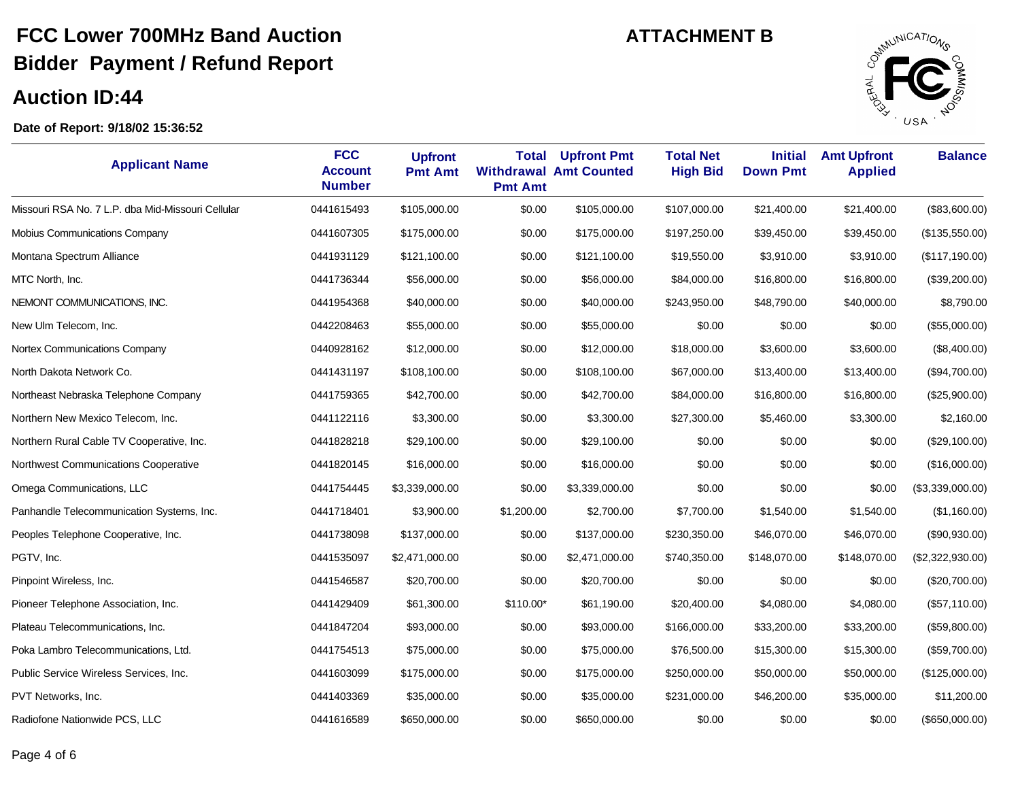### **Auction ID:44**

÷,



| <b>Applicant Name</b>                             | <b>FCC</b><br><b>Account</b><br><b>Number</b> | <b>Upfront</b><br><b>Pmt Amt</b> | <b>Total</b><br><b>Pmt Amt</b> | <b>Upfront Pmt</b><br><b>Withdrawal Amt Counted</b> | <b>Total Net</b><br><b>High Bid</b> | <b>Initial</b><br><b>Down Pmt</b> | <b>Amt Upfront</b><br><b>Applied</b> | <b>Balance</b>   |
|---------------------------------------------------|-----------------------------------------------|----------------------------------|--------------------------------|-----------------------------------------------------|-------------------------------------|-----------------------------------|--------------------------------------|------------------|
| Missouri RSA No. 7 L.P. dba Mid-Missouri Cellular | 0441615493                                    | \$105,000.00                     | \$0.00                         | \$105,000.00                                        | \$107,000.00                        | \$21,400.00                       | \$21,400.00                          | (\$83,600.00)    |
| Mobius Communications Company                     | 0441607305                                    | \$175,000.00                     | \$0.00                         | \$175,000.00                                        | \$197,250.00                        | \$39,450.00                       | \$39,450.00                          | (\$135,550.00)   |
| Montana Spectrum Alliance                         | 0441931129                                    | \$121,100.00                     | \$0.00                         | \$121,100.00                                        | \$19,550.00                         | \$3,910.00                        | \$3,910.00                           | (\$117,190.00)   |
| MTC North, Inc.                                   | 0441736344                                    | \$56,000.00                      | \$0.00                         | \$56,000.00                                         | \$84,000.00                         | \$16,800.00                       | \$16,800.00                          | (\$39,200.00)    |
| NEMONT COMMUNICATIONS, INC.                       | 0441954368                                    | \$40,000.00                      | \$0.00                         | \$40,000.00                                         | \$243,950.00                        | \$48,790.00                       | \$40,000.00                          | \$8,790.00       |
| New Ulm Telecom, Inc.                             | 0442208463                                    | \$55,000.00                      | \$0.00                         | \$55,000.00                                         | \$0.00                              | \$0.00                            | \$0.00                               | (\$55,000.00)    |
| Nortex Communications Company                     | 0440928162                                    | \$12,000.00                      | \$0.00                         | \$12,000.00                                         | \$18,000.00                         | \$3,600.00                        | \$3,600.00                           | (\$8,400.00)     |
| North Dakota Network Co.                          | 0441431197                                    | \$108,100.00                     | \$0.00                         | \$108,100.00                                        | \$67,000.00                         | \$13,400.00                       | \$13,400.00                          | (\$94,700.00)    |
| Northeast Nebraska Telephone Company              | 0441759365                                    | \$42,700.00                      | \$0.00                         | \$42,700.00                                         | \$84,000.00                         | \$16,800.00                       | \$16,800.00                          | (\$25,900.00)    |
| Northern New Mexico Telecom, Inc.                 | 0441122116                                    | \$3,300.00                       | \$0.00                         | \$3,300.00                                          | \$27,300.00                         | \$5,460.00                        | \$3,300.00                           | \$2,160.00       |
| Northern Rural Cable TV Cooperative, Inc.         | 0441828218                                    | \$29,100.00                      | \$0.00                         | \$29,100.00                                         | \$0.00                              | \$0.00                            | \$0.00                               | (\$29,100.00)    |
| Northwest Communications Cooperative              | 0441820145                                    | \$16,000.00                      | \$0.00                         | \$16,000.00                                         | \$0.00                              | \$0.00                            | \$0.00                               | (\$16,000.00)    |
| Omega Communications, LLC                         | 0441754445                                    | \$3,339,000.00                   | \$0.00                         | \$3,339,000.00                                      | \$0.00                              | \$0.00                            | \$0.00                               | (\$3,339,000.00) |
| Panhandle Telecommunication Systems, Inc.         | 0441718401                                    | \$3,900.00                       | \$1,200.00                     | \$2,700.00                                          | \$7,700.00                          | \$1,540.00                        | \$1,540.00                           | (\$1,160.00)     |
| Peoples Telephone Cooperative, Inc.               | 0441738098                                    | \$137,000.00                     | \$0.00                         | \$137,000.00                                        | \$230,350.00                        | \$46,070.00                       | \$46,070.00                          | (\$90,930.00)    |
| PGTV, Inc.                                        | 0441535097                                    | \$2,471,000.00                   | \$0.00                         | \$2,471,000.00                                      | \$740,350.00                        | \$148,070.00                      | \$148,070.00                         | (\$2,322,930.00) |
| Pinpoint Wireless, Inc.                           | 0441546587                                    | \$20,700.00                      | \$0.00                         | \$20,700.00                                         | \$0.00                              | \$0.00                            | \$0.00                               | (\$20,700.00)    |
| Pioneer Telephone Association, Inc.               | 0441429409                                    | \$61,300.00                      | \$110.00*                      | \$61,190.00                                         | \$20,400.00                         | \$4,080.00                        | \$4,080.00                           | (\$57,110.00)    |
| Plateau Telecommunications, Inc.                  | 0441847204                                    | \$93,000.00                      | \$0.00                         | \$93,000.00                                         | \$166,000.00                        | \$33,200.00                       | \$33,200.00                          | (\$59,800.00)    |
| Poka Lambro Telecommunications, Ltd.              | 0441754513                                    | \$75,000.00                      | \$0.00                         | \$75,000.00                                         | \$76,500.00                         | \$15,300.00                       | \$15,300.00                          | (\$59,700.00)    |
| Public Service Wireless Services, Inc.            | 0441603099                                    | \$175,000.00                     | \$0.00                         | \$175,000.00                                        | \$250,000.00                        | \$50,000.00                       | \$50,000.00                          | (\$125,000.00)   |
| PVT Networks, Inc.                                | 0441403369                                    | \$35,000.00                      | \$0.00                         | \$35,000.00                                         | \$231,000.00                        | \$46,200.00                       | \$35,000.00                          | \$11,200.00      |
| Radiofone Nationwide PCS, LLC                     | 0441616589                                    | \$650,000.00                     | \$0.00                         | \$650,000.00                                        | \$0.00                              | \$0.00                            | \$0.00                               | (\$650,000.00)   |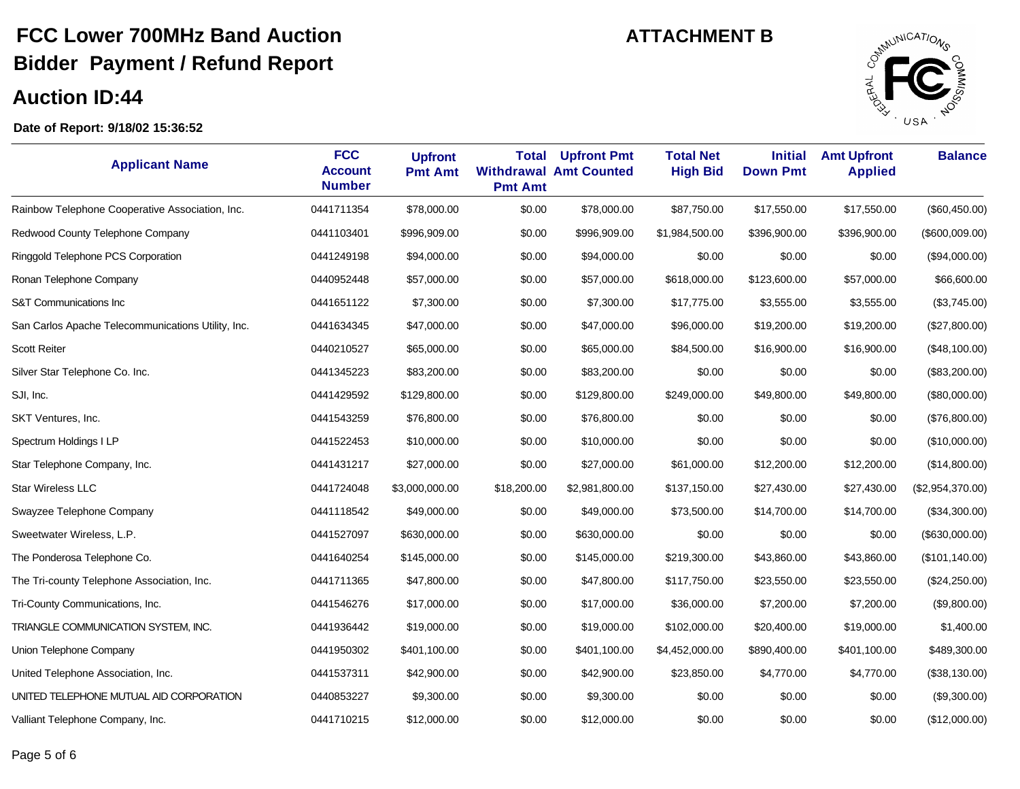

| <b>Applicant Name</b>                              | <b>FCC</b><br><b>Account</b><br><b>Number</b> | <b>Upfront</b><br><b>Pmt Amt</b> | <b>Total</b><br><b>Pmt Amt</b> | <b>Upfront Pmt</b><br><b>Withdrawal Amt Counted</b> | <b>Total Net</b><br><b>High Bid</b> | <b>Initial</b><br><b>Down Pmt</b> | <b>Amt Upfront</b><br><b>Applied</b> | <b>Balance</b>   |
|----------------------------------------------------|-----------------------------------------------|----------------------------------|--------------------------------|-----------------------------------------------------|-------------------------------------|-----------------------------------|--------------------------------------|------------------|
| Rainbow Telephone Cooperative Association, Inc.    | 0441711354                                    | \$78,000.00                      | \$0.00                         | \$78,000.00                                         | \$87,750.00                         | \$17,550.00                       | \$17,550.00                          | (\$60,450.00)    |
| Redwood County Telephone Company                   | 0441103401                                    | \$996,909.00                     | \$0.00                         | \$996,909.00                                        | \$1,984,500.00                      | \$396,900.00                      | \$396,900.00                         | (\$600,009.00)   |
| Ringgold Telephone PCS Corporation                 | 0441249198                                    | \$94,000.00                      | \$0.00                         | \$94,000.00                                         | \$0.00                              | \$0.00                            | \$0.00                               | (\$94,000.00)    |
| Ronan Telephone Company                            | 0440952448                                    | \$57,000.00                      | \$0.00                         | \$57,000.00                                         | \$618,000.00                        | \$123,600.00                      | \$57,000.00                          | \$66,600.00      |
| S&T Communications Inc                             | 0441651122                                    | \$7,300.00                       | \$0.00                         | \$7,300.00                                          | \$17,775.00                         | \$3,555.00                        | \$3,555.00                           | (\$3,745.00)     |
| San Carlos Apache Telecommunications Utility, Inc. | 0441634345                                    | \$47,000.00                      | \$0.00                         | \$47,000.00                                         | \$96,000.00                         | \$19,200.00                       | \$19,200.00                          | (\$27,800.00)    |
| Scott Reiter                                       | 0440210527                                    | \$65,000.00                      | \$0.00                         | \$65,000.00                                         | \$84,500.00                         | \$16,900.00                       | \$16,900.00                          | (\$48,100.00)    |
| Silver Star Telephone Co. Inc.                     | 0441345223                                    | \$83,200.00                      | \$0.00                         | \$83,200.00                                         | \$0.00                              | \$0.00                            | \$0.00                               | (\$83,200.00)    |
| SJI, Inc.                                          | 0441429592                                    | \$129,800.00                     | \$0.00                         | \$129,800.00                                        | \$249,000.00                        | \$49,800.00                       | \$49,800.00                          | (\$80,000.00)    |
| SKT Ventures, Inc.                                 | 0441543259                                    | \$76,800.00                      | \$0.00                         | \$76,800.00                                         | \$0.00                              | \$0.00                            | \$0.00                               | (\$76,800.00)    |
| Spectrum Holdings I LP                             | 0441522453                                    | \$10,000.00                      | \$0.00                         | \$10,000.00                                         | \$0.00                              | \$0.00                            | \$0.00                               | (\$10,000.00)    |
| Star Telephone Company, Inc.                       | 0441431217                                    | \$27,000.00                      | \$0.00                         | \$27,000.00                                         | \$61,000.00                         | \$12,200.00                       | \$12,200.00                          | (\$14,800.00)    |
| Star Wireless LLC                                  | 0441724048                                    | \$3,000,000.00                   | \$18,200.00                    | \$2,981,800.00                                      | \$137,150.00                        | \$27,430.00                       | \$27,430.00                          | (\$2,954,370.00) |
| Swayzee Telephone Company                          | 0441118542                                    | \$49,000.00                      | \$0.00                         | \$49,000.00                                         | \$73,500.00                         | \$14,700.00                       | \$14,700.00                          | (\$34,300.00)    |
| Sweetwater Wireless, L.P.                          | 0441527097                                    | \$630,000.00                     | \$0.00                         | \$630,000.00                                        | \$0.00                              | \$0.00                            | \$0.00                               | (\$630,000.00)   |
| The Ponderosa Telephone Co.                        | 0441640254                                    | \$145,000.00                     | \$0.00                         | \$145,000.00                                        | \$219,300.00                        | \$43,860.00                       | \$43,860.00                          | (\$101, 140.00)  |
| The Tri-county Telephone Association, Inc.         | 0441711365                                    | \$47,800.00                      | \$0.00                         | \$47,800.00                                         | \$117,750.00                        | \$23,550.00                       | \$23,550.00                          | (\$24,250.00)    |
| Tri-County Communications, Inc.                    | 0441546276                                    | \$17,000.00                      | \$0.00                         | \$17,000.00                                         | \$36,000.00                         | \$7,200.00                        | \$7,200.00                           | (\$9,800.00)     |
| TRIANGLE COMMUNICATION SYSTEM, INC.                | 0441936442                                    | \$19,000.00                      | \$0.00                         | \$19,000.00                                         | \$102,000.00                        | \$20,400.00                       | \$19,000.00                          | \$1,400.00       |
| Union Telephone Company                            | 0441950302                                    | \$401,100.00                     | \$0.00                         | \$401,100.00                                        | \$4,452,000.00                      | \$890,400.00                      | \$401,100.00                         | \$489,300.00     |
| United Telephone Association, Inc.                 | 0441537311                                    | \$42,900.00                      | \$0.00                         | \$42,900.00                                         | \$23,850.00                         | \$4,770.00                        | \$4,770.00                           | (\$38,130.00)    |
| UNITED TELEPHONE MUTUAL AID CORPORATION            | 0440853227                                    | \$9,300.00                       | \$0.00                         | \$9,300.00                                          | \$0.00                              | \$0.00                            | \$0.00                               | (\$9,300.00)     |
| Valliant Telephone Company, Inc.                   | 0441710215                                    | \$12,000.00                      | \$0.00                         | \$12,000.00                                         | \$0.00                              | \$0.00                            | \$0.00                               | (\$12,000.00)    |